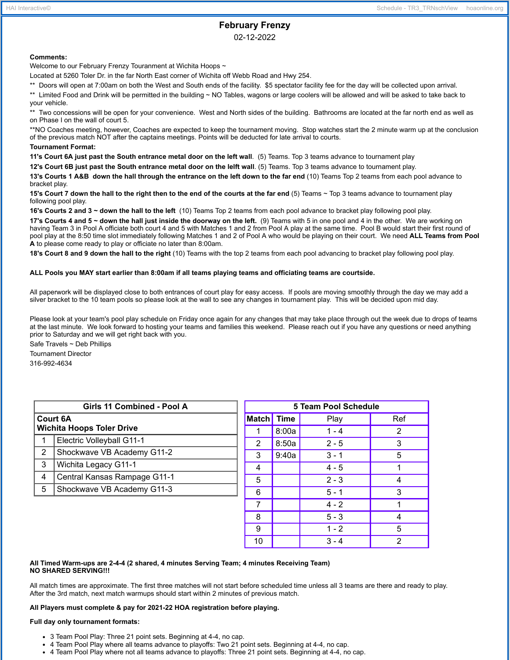# **February Frenzy**

02-12-2022

## **Comments:**

Welcome to our February Frenzy Touranment at Wichita Hoops ~

Located at 5260 Toler Dr. in the far North East corner of Wichita off Webb Road and Hwy 254.

\*\* Doors will open at 7:00am on both the West and South ends of the facility. \$5 spectator facility fee for the day will be collected upon arrival.

\*\* Limited Food and Drink will be permitted in the building ~ NO Tables, wagons or large coolers will be allowed and will be asked to take back to your vehicle.

\*\* Two concessions will be open for your convenience. West and North sides of the building. Bathrooms are located at the far north end as well as on Phase I on the wall of court 5.

\*\*NO Coaches meeting, however, Coaches are expected to keep the tournament moving. Stop watches start the 2 minute warm up at the conclusion of the previous match NOT after the captains meetings. Points will be deducted for late arrival to courts.

#### **Tournament Format:**

**11's Court 6A just past the South entrance metal door on the left wall**. (5) Teams. Top 3 teams advance to tournament play

**12's Court 6B just past the South entrance metal door on the lelft wall**. (5) Teams. Top 3 teams advance to tournament play.

13's Courts 1 A&B down the hall through the entrance on the left down to the far end (10) Teams Top 2 teams from each pool advance to bracket play.

15's Court 7 down the hall to the right then to the end of the courts at the far end (5) Teams ~ Top 3 teams advance to tournament play following pool play.

**16's Courts 2 and 3 ~ down the hall to the left** (10) Teams Top 2 teams from each pool advance to bracket play following pool play.

17's Courts 4 and 5 ~ down the hall just inside the doorway on the left. (9) Teams with 5 in one pool and 4 in the other. We are working on having Team 3 in Pool A officiate both court 4 and 5 with Matches 1 and 2 from Pool A play at the same time. Pool B would start their first round of pool play at the 8:50 time slot immediately following Matches 1 and 2 of Pool A who would be playing on their court. We need **ALL Teams from Pool A** to please come ready to play or officiate no later than 8:00am.

**18's Court 8 and 9 down the hall to the right** (10) Teams with the top 2 teams from each pool advancing to bracket play following pool play.

#### ALL Pools you MAY start earlier than 8:00am if all teams playing teams and officiating teams are courtside.

All paperwork will be displayed close to both entrances of court play for easy access. If pools are moving smoothly through the day we may add a silver bracket to the 10 team pools so please look at the wall to see any changes in tournament play. This will be decided upon mid day.

Please look at your team's pool play schedule on Friday once again for any changes that may take place through out the week due to drops of teams at the last minute. We look forward to hosting your teams and families this weekend. Please reach out if you have any questions or need anything prior to Saturday and we will get right back with you.

Safe Travels ~ Deb Phillips Tournament Director 316-992-4634

| Girls 11 Combined - Pool A       |                              | <b>5 Team Pool Schedule</b> |             |         |     |
|----------------------------------|------------------------------|-----------------------------|-------------|---------|-----|
| <b>Court 6A</b>                  |                              | <b>Match</b>                | <b>Time</b> | Play    | Ref |
| <b>Wichita Hoops Toler Drive</b> |                              |                             | 8:00a       | $1 - 4$ | 2   |
|                                  | Electric Volleyball G11-1    | 2                           | 8:50a       | $2 - 5$ | 3   |
| 2                                | Shockwave VB Academy G11-2   | 3                           | 9:40a       | $3 - 1$ | 5   |
| 3                                | Wichita Legacy G11-1         | 4                           |             | $4 - 5$ |     |
| 4                                | Central Kansas Rampage G11-1 | 5                           |             | $2 - 3$ | 4   |
| 5                                | Shockwave VB Academy G11-3   | 6                           |             | $5 - 1$ | 3   |
|                                  |                              |                             |             | $4 - 2$ |     |
|                                  |                              | 8                           |             | $5 - 3$ | 4   |
|                                  |                              | 9                           |             | $1 - 2$ | 5   |
|                                  |                              | 10                          |             | $3 - 4$ | 2   |

#### **All Timed Warm-ups are 2-4-4 (2 shared, 4 minutes Serving Team; 4 minutes Receiving Team) NO SHARED SERVING!!!**

All match times are approximate. The first three matches will not start before scheduled time unless all 3 teams are there and ready to play. After the 3rd match, next match warmups should start within 2 minutes of previous match.

### **All Players must complete & pay for 2021-22 HOA registration before playing.**

#### **Full day only tournament formats:**

- 3 Team Pool Play: Three 21 point sets. Beginning at 4-4, no cap.
- 4 Team Pool Play where all teams advance to playoffs: Two 21 point sets. Beginning at 4-4, no cap.
- 4 Team Pool Play where not all teams advance to playoffs: Three 21 point sets. Beginning at 4-4, no cap.